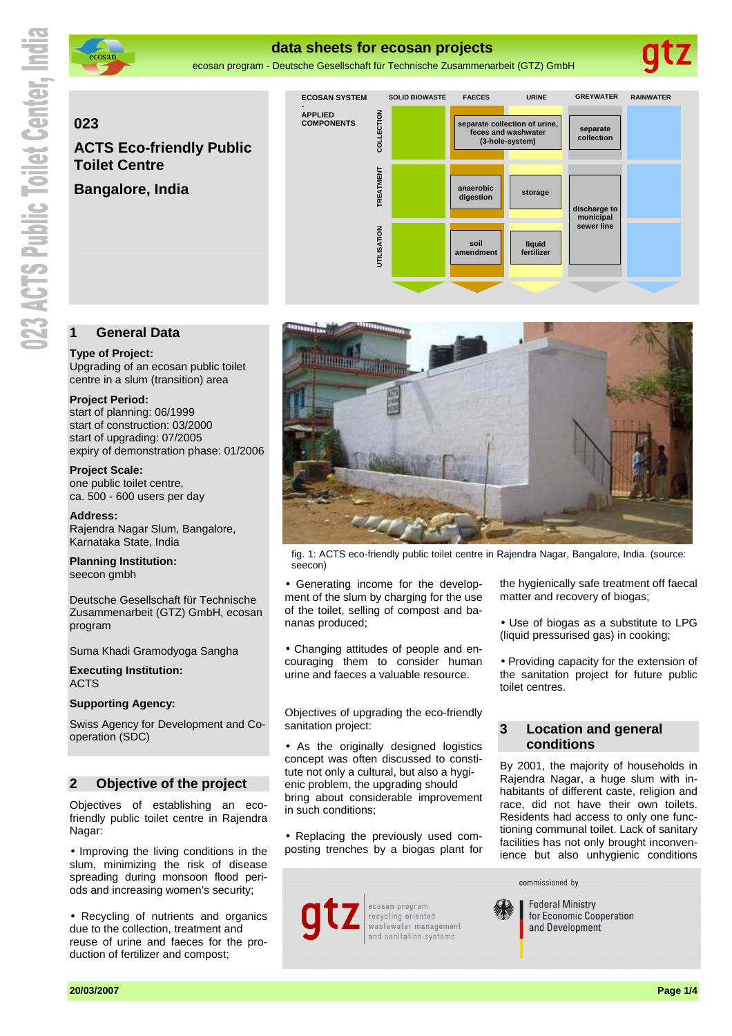

# **data sheets for ecosan projects**

ecosan program - Deutsche Gesellschaft für Technische Zusammenarbeit (GTZ) GmbH

# **023**

**ACTS Eco-friendly Public Toilet Centre** 

**Bangalore, India** 



# **1 General Data**

#### **Type of Project:**

Upgrading of an ecosan public toilet centre in a slum (transition) area

#### **Project Period:**

start of planning: 06/1999 start of construction: 03/2000 start of upgrading: 07/2005 expiry of demonstration phase: 01/2006

**Project Scale:**  one public toilet centre, ca. 500 - 600 users per day

**Address:**  Rajendra Nagar Slum, Bangalore, Karnataka State, India

**Planning Institution:**  seecon gmbh

Deutsche Gesellschaft für Technische Zusammenarbeit (GTZ) GmbH, ecosan program

Suma Khadi Gramodyoga Sangha

**Executing Institution:**  ACTS

# **Supporting Agency:**

Swiss Agency for Development and Cooperation (SDC)

# **2 Objective of the project**

Objectives of establishing an ecofriendly public toilet centre in Rajendra Nagar:

• Improving the living conditions in the slum, minimizing the risk of disease spreading during monsoon flood periods and increasing women's security;

• Recycling of nutrients and organics due to the collection, treatment and reuse of urine and faeces for the production of fertilizer and compost;



fig. 1: ACTS eco-friendly public toilet centre in Rajendra Nagar, Bangalore, India. (source: seecon)

• Generating income for the development of the slum by charging for the use of the toilet, selling of compost and bananas produced;

• Changing attitudes of people and encouraging them to consider human urine and faeces a valuable resource.

Objectives of upgrading the eco-friendly sanitation project:

• As the originally designed logistics concept was often discussed to constitute not only a cultural, but also a hygienic problem, the upgrading should bring about considerable improvement in such conditions;

• Replacing the previously used composting trenches by a biogas plant for



the hygienically safe treatment off faecal matter and recovery of biogas;

• Use of biogas as a substitute to LPG (liquid pressurised gas) in cooking;

• Providing capacity for the extension of the sanitation project for future public toilet centres.

# **3 Location and general conditions**

By 2001, the majority of households in Rajendra Nagar, a huge slum with inhabitants of different caste, religion and race, did not have their own toilets. Residents had access to only one functioning communal toilet. Lack of sanitary facilities has not only brought inconvenience but also unhygienic conditions

commissioned by



**Federal Ministry** for Economic Cooperation and Development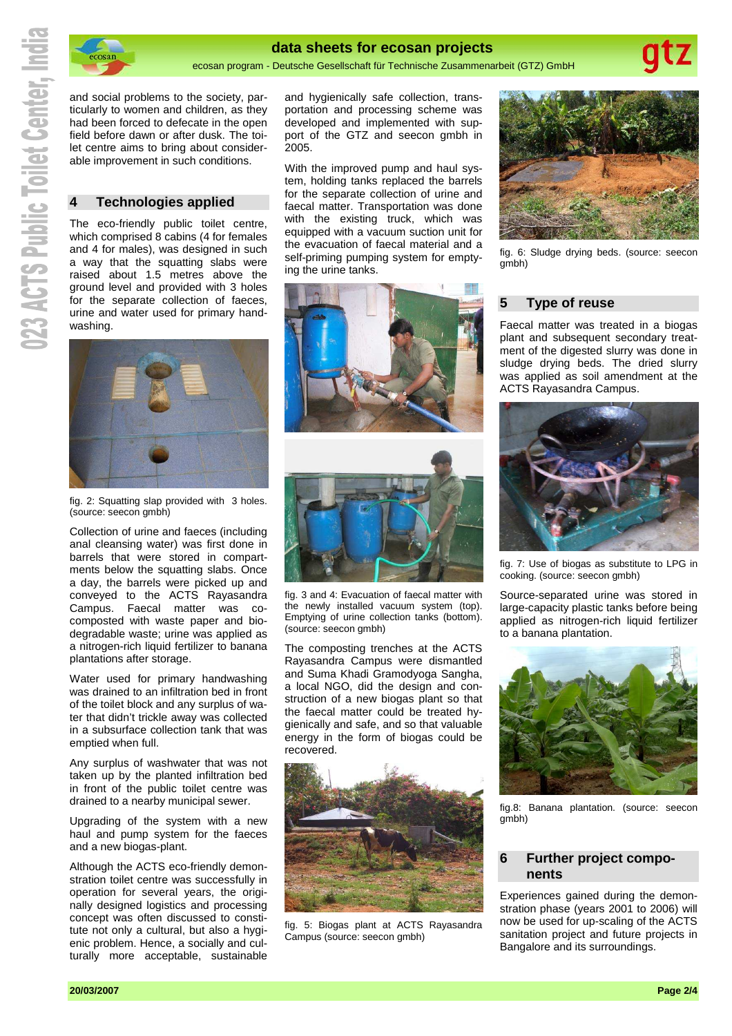

ecosan

#### **data sheets for ecosan projects**

ecosan program - Deutsche Gesellschaft für Technische Zusammenarbeit (GTZ) GmbH

and social problems to the society, particularly to women and children, as they had been forced to defecate in the open field before dawn or after dusk. The toilet centre aims to bring about considerable improvement in such conditions.

# **4 Technologies applied**

The eco-friendly public toilet centre, which comprised 8 cabins (4 for females and 4 for males), was designed in such a way that the squatting slabs were raised about 1.5 metres above the ground level and provided with 3 holes for the separate collection of faeces, urine and water used for primary handwashing.



fig. 2: Squatting slap provided with 3 holes. (source: seecon gmbh)

Collection of urine and faeces (including anal cleansing water) was first done in barrels that were stored in compartments below the squatting slabs. Once a day, the barrels were picked up and conveyed to the ACTS Rayasandra Campus. Faecal matter was cocomposted with waste paper and biodegradable waste; urine was applied as a nitrogen-rich liquid fertilizer to banana plantations after storage.

Water used for primary handwashing was drained to an infiltration bed in front of the toilet block and any surplus of water that didn't trickle away was collected in a subsurface collection tank that was emptied when full.

Any surplus of washwater that was not taken up by the planted infiltration bed in front of the public toilet centre was drained to a nearby municipal sewer.

Upgrading of the system with a new haul and pump system for the faeces and a new biogas-plant.

Although the ACTS eco-friendly demonstration toilet centre was successfully in operation for several years, the originally designed logistics and processing concept was often discussed to constitute not only a cultural, but also a hygienic problem. Hence, a socially and culturally more acceptable, sustainable and hygienically safe collection, transportation and processing scheme was developed and implemented with support of the GTZ and seecon gmbh in 2005.

With the improved pump and haul system, holding tanks replaced the barrels for the separate collection of urine and faecal matter. Transportation was done with the existing truck, which was equipped with a vacuum suction unit for the evacuation of faecal material and a self-priming pumping system for emptying the urine tanks.



fig. 3 and 4: Evacuation of faecal matter with the newly installed vacuum system (top). Emptying of urine collection tanks (bottom). (source: seecon gmbh)

The composting trenches at the ACTS Rayasandra Campus were dismantled and Suma Khadi Gramodyoga Sangha, a local NGO, did the design and construction of a new biogas plant so that the faecal matter could be treated hygienically and safe, and so that valuable energy in the form of biogas could be recovered.



fig. 5: Biogas plant at ACTS Rayasandra Campus (source: seecon gmbh)



fig. 6: Sludge drying beds. (source: seecon gmbh)

# **5 Type of reuse**

Faecal matter was treated in a biogas plant and subsequent secondary treatment of the digested slurry was done in sludge drying beds. The dried slurry was applied as soil amendment at the ACTS Rayasandra Campus.



fig. 7: Use of biogas as substitute to LPG in cooking. (source: seecon gmbh)

Source-separated urine was stored in large-capacity plastic tanks before being applied as nitrogen-rich liquid fertilizer to a banana plantation.



fig.8: Banana plantation. (source: seecon gmbh)

## **6 Further project components**

Experiences gained during the demonstration phase (years 2001 to 2006) will now be used for up-scaling of the ACTS sanitation project and future projects in Bangalore and its surroundings.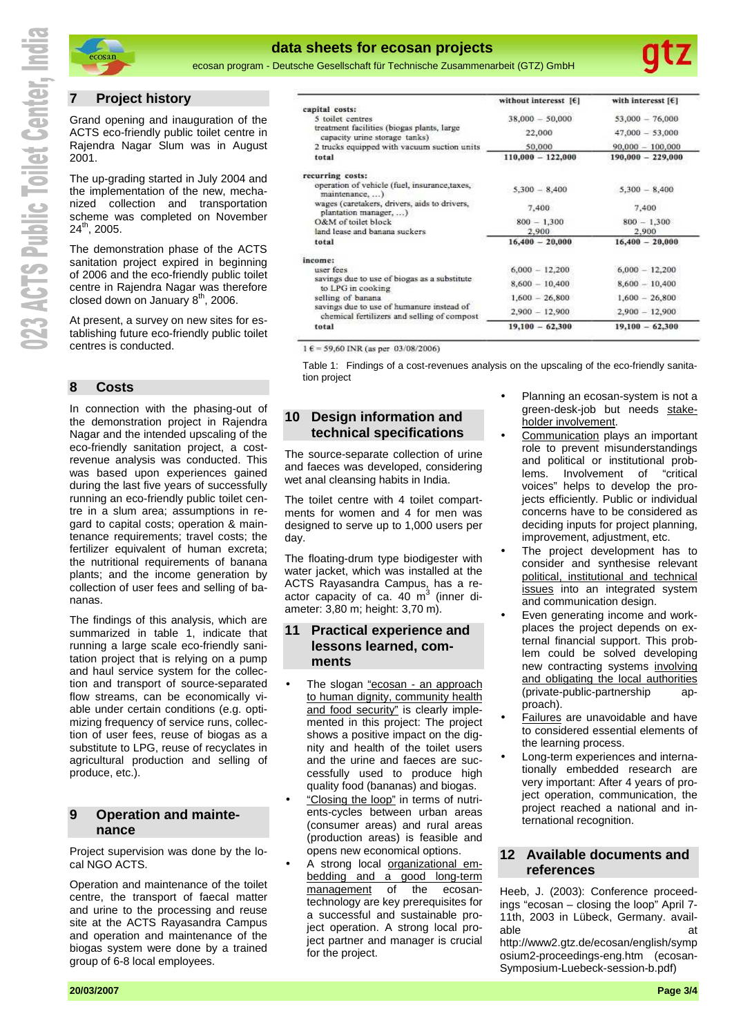

# **data sheets for ecosan projects**

ecosan program - Deutsche Gesellschaft für Technische Zusammenarbeit (GTZ) GmbH

# **7 Project history**

ecosan

Grand opening and inauguration of the ACTS eco-friendly public toilet centre in Rajendra Nagar Slum was in August 2001.

The up-grading started in July 2004 and the implementation of the new, mechanized collection and transportation scheme was completed on November  $24^{th}$ , 2005.

The demonstration phase of the ACTS sanitation project expired in beginning of 2006 and the eco-friendly public toilet centre in Rajendra Nagar was therefore closed down on January  $8<sup>th</sup>$ , 2006.

At present, a survey on new sites for establishing future eco-friendly public toilet centres is conducted.

# **8 Costs**

In connection with the phasing-out of the demonstration project in Rajendra Nagar and the intended upscaling of the eco-friendly sanitation project, a costrevenue analysis was conducted. This was based upon experiences gained during the last five years of successfully running an eco-friendly public toilet centre in a slum area; assumptions in regard to capital costs; operation & maintenance requirements; travel costs; the fertilizer equivalent of human excreta; the nutritional requirements of banana plants; and the income generation by collection of user fees and selling of bananas.

The findings of this analysis, which are summarized in table 1, indicate that running a large scale eco-friendly sanitation project that is relying on a pump and haul service system for the collection and transport of source-separated flow streams, can be economically viable under certain conditions (e.g. optimizing frequency of service runs, collection of user fees, reuse of biogas as a substitute to LPG, reuse of recyclates in agricultural production and selling of produce, etc.).

# **9 Operation and maintenance**

Project supervision was done by the local NGO ACTS.

Operation and maintenance of the toilet centre, the transport of faecal matter and urine to the processing and reuse site at the ACTS Rayasandra Campus and operation and maintenance of the biogas system were done by a trained group of 6-8 local employees.

| without interesst $[6]$ | with interesst $[6]$ |
|-------------------------|----------------------|
|                         |                      |
|                         | $53,000 - 76,000$    |
| 22,000                  | $47,000 - 53,000$    |
| 50,000                  | $90,000 - 100,000$   |
| $110,000 - 122,000$     | $190,000 - 229,000$  |
|                         |                      |
| $5.300 - 8.400$         | $5,300 - 8,400$      |
| 7,400                   | 7,400                |
| $800 - 1,300$           | $800 - 1.300$        |
| 2,900                   | 2.900                |
| $16,400 - 20,000$       | $16,400 - 20,000$    |
|                         |                      |
| $6,000 - 12,200$        | $6,000 - 12,200$     |
| $8,600 - 10,400$        | $8,600 - 10,400$     |
| $1,600 - 26,800$        | $1,600 - 26,800$     |
| $2.900 - 12.900$        | $2,900 - 12,900$     |
| $19,100 - 62,300$       | $19,100 - 62,300$    |
|                         | $38,000 - 50,000$    |

 $1 \text{ } \in$  = 59,60 INR (as per 03/08/2006)

Table 1: Findings of a cost-revenues analysis on the upscaling of the eco-friendly sanitation project

# **10 Design information and technical specifications**

The source-separate collection of urine and faeces was developed, considering wet anal cleansing habits in India.

The toilet centre with 4 toilet compartments for women and 4 for men was designed to serve up to 1,000 users per day.

The floating-drum type biodigester with water jacket, which was installed at the ACTS Rayasandra Campus, has a reactor capacity of ca. 40 m<sup>3</sup> (inner diameter: 3,80 m; height: 3,70 m).

# **11 Practical experience and lessons learned, comments**

- The slogan "ecosan an approach to human dignity, community health and food security" is clearly implemented in this project: The project shows a positive impact on the dignity and health of the toilet users and the urine and faeces are successfully used to produce high quality food (bananas) and biogas.
- "Closing the loop" in terms of nutrients-cycles between urban areas (consumer areas) and rural areas (production areas) is feasible and opens new economical options.
- A strong local organizational embedding and a good long-term management of the ecosantechnology are key prerequisites for a successful and sustainable project operation. A strong local project partner and manager is crucial for the project.
- Planning an ecosan-system is not a green-desk-job but needs stakeholder involvement.
- Communication plays an important role to prevent misunderstandings and political or institutional problems. Involvement of "critical voices" helps to develop the projects efficiently. Public or individual concerns have to be considered as deciding inputs for project planning, improvement, adjustment, etc.
- The project development has to consider and synthesise relevant political, institutional and technical issues into an integrated system and communication design.
- Even generating income and workplaces the project depends on external financial support. This problem could be solved developing new contracting systems involving and obligating the local authorities (private-public-partnership approach).
- **Failures** are unavoidable and have to considered essential elements of the learning process.
- Long-term experiences and internationally embedded research are very important: After 4 years of project operation, communication, the project reached a national and international recognition.

# **12 Available documents and references**

Heeb, J. (2003): Conference proceedings "ecosan – closing the loop" April 7- 11th, 2003 in Lübeck, Germany. available and a structure at a structure at a structure at a structure at  $\alpha$ 

http://www2.gtz.de/ecosan/english/symp osium2-proceedings-eng.htm (ecosan-Symposium-Luebeck-session-b.pdf)